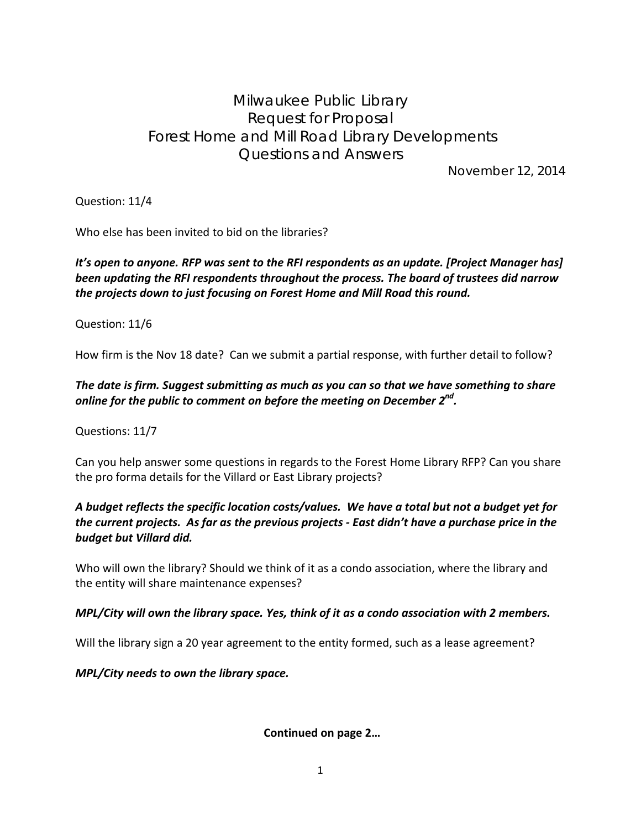# Milwaukee Public Library Request for Proposal Forest Home and Mill Road Library Developments Questions and Answers

November 12, 2014

Question: 11/4

Who else has been invited to bid on the libraries?

## *It's open to anyone. RFP was sent to the RFI respondents as an update. [Project Manager has] been updating the RFI respondents throughout the process. The board of trustees did narrow the projects down to just focusing on Forest Home and Mill Road this round.*

Question: 11/6

How firm is the Nov 18 date? Can we submit a partial response, with further detail to follow?

## *The date is firm. Suggest submitting as much as you can so that we have something to share online for the public to comment on before the meeting on December 2nd.*

Questions: 11/7

Can you help answer some questions in regards to the Forest Home Library RFP? Can you share the pro forma details for the Villard or East Library projects?

#### *A budget reflects the specific location costs/values. We have a total but not a budget yet for the current projects. As far as the previous projects - East didn't have a purchase price in the budget but Villard did.*

Who will own the library? Should we think of it as a condo association, where the library and the entity will share maintenance expenses?

#### *MPL/City will own the library space. Yes, think of it as a condo association with 2 members.*

Will the library sign a 20 year agreement to the entity formed, such as a lease agreement?

*MPL/City needs to own the library space.*

**Continued on page 2…**